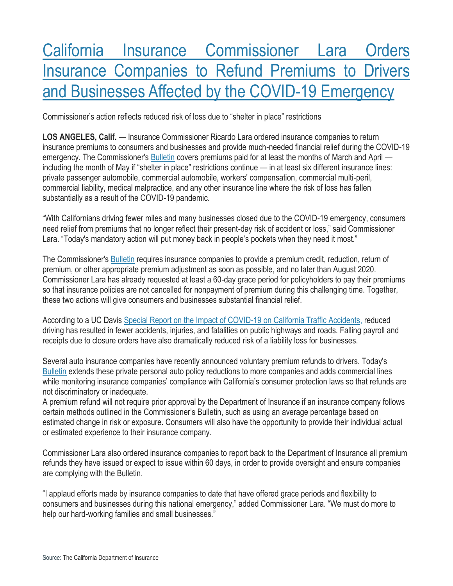## California Insurance Commissioner Lara Orders Insurance Companies to Refund Premiums to Drivers and Businesses Affected by the COVID-19 Emergency

Commissioner's action reflects reduced risk of loss due to "shelter in place" restrictions

**LOS ANGELES, Calif.** — Insurance Commissioner Ricardo Lara ordered insurance companies to return insurance premiums to consumers and businesses and provide much-needed financial relief during the COVID-19 emergency. The Commissioner's [Bulletin](http://www.insurance.ca.gov/0250-insurers/0300-insurers/0200-bulletins/bulletin-notices-commiss-opinion/upload/Bulletin_2020-3_re_covid-19_premium_reductions-2.pdf) covers premiums paid for at least the months of March and April including the month of May if "shelter in place" restrictions continue — in at least six different insurance lines: private passenger automobile, commercial automobile, workers' compensation, commercial multi-peril, commercial liability, medical malpractice, and any other insurance line where the risk of loss has fallen substantially as a result of the COVID-19 pandemic.

"With Californians driving fewer miles and many businesses closed due to the COVID-19 emergency, consumers need relief from premiums that no longer reflect their present-day risk of accident or loss," said Commissioner Lara. "Today's mandatory action will put money back in people's pockets when they need it most."

The Commissioner'[s Bulletin](http://www.insurance.ca.gov/0250-insurers/0300-insurers/0200-bulletins/bulletin-notices-commiss-opinion/upload/Bulletin_2020-3_re_covid-19_premium_reductions-2.pdf) requires insurance companies to provide a premium credit, reduction, return of premium, or other appropriate premium adjustment as soon as possible, and no later than August 2020. Commissioner Lara has already requested at least a 60-day grace period for policyholders to pay their premiums so that insurance policies are not cancelled for nonpayment of premium during this challenging time. Together, these two actions will give consumers and businesses substantial financial relief.

According to a UC Davis [Special Report on the Impact of COVID-19 on California Traffic Accidents,](https://roadecology.ucdavis.edu/files/content/projects/COVID_CHIPs_Impacts.pdf) reduced driving has resulted in fewer accidents, injuries, and fatalities on public highways and roads. Falling payroll and receipts due to closure orders have also dramatically reduced risk of a liability loss for businesses.

Several auto insurance companies have recently announced voluntary premium refunds to drivers. Today's [Bulletin](http://www.insurance.ca.gov/0250-insurers/0300-insurers/0200-bulletins/bulletin-notices-commiss-opinion/upload/Bulletin_2020-3_re_covid-19_premium_reductions-2.pdf) extends these private personal auto policy reductions to more companies and adds commercial lines while monitoring insurance companies' compliance with California's consumer protection laws so that refunds are not discriminatory or inadequate.

A premium refund will not require prior approval by the Department of Insurance if an insurance company follows certain methods outlined in the Commissioner's Bulletin, such as using an average percentage based on estimated change in risk or exposure. Consumers will also have the opportunity to provide their individual actual or estimated experience to their insurance company.

Commissioner Lara also ordered insurance companies to report back to the Department of Insurance all premium refunds they have issued or expect to issue within 60 days, in order to provide oversight and ensure companies are complying with the Bulletin.

"I applaud efforts made by insurance companies to date that have offered grace periods and flexibility to consumers and businesses during this national emergency," added Commissioner Lara. "We must do more to help our hard-working families and small businesses."